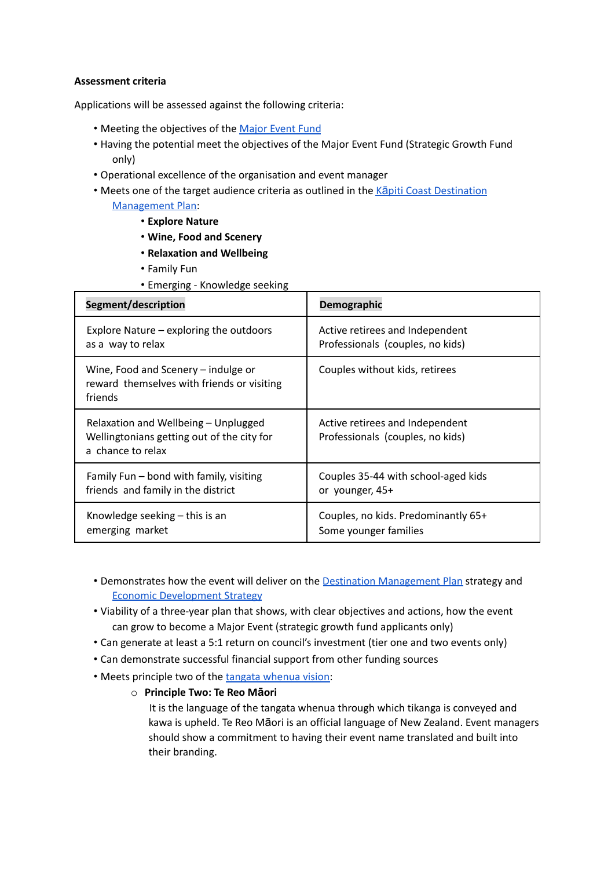## **Assessment criteria**

Applications will be assessed against the following criteria:

- Meeting the objectives of the [Major](https://www.kapiticoast.govt.nz/media/41918/major-events-fund-policy-2022.pdf) Event Fund
- Having the potential meet the objectives of the Major Event Fund (Strategic Growth Fund only)
- Operational excellence of the organisation and event manager
- Meets one of the target audience criteria as outlined in the Kapiti Coast [Destination](https://www.kapiticoast.govt.nz/media/40408/kapiti-destination-management-plan.pdf#dmp) [Management](https://www.kapiticoast.govt.nz/media/40408/kapiti-destination-management-plan.pdf#dmp) Plan:
	- **Explore Nature**
	- **Wine, Food and Scenery**
	- **Relaxation and Wellbeing**
	- Family Fun
	- Emerging Knowledge seeking

| Segment/description                                                                                     | Demographic                                                         |
|---------------------------------------------------------------------------------------------------------|---------------------------------------------------------------------|
| Explore Nature – exploring the outdoors                                                                 | Active retirees and Independent                                     |
| as a way to relax                                                                                       | Professionals (couples, no kids)                                    |
| Wine, Food and Scenery – indulge or<br>reward themselves with friends or visiting<br>friends            | Couples without kids, retirees                                      |
| Relaxation and Wellbeing - Unplugged<br>Wellingtonians getting out of the city for<br>a chance to relax | Active retirees and Independent<br>Professionals (couples, no kids) |
| Family Fun – bond with family, visiting                                                                 | Couples 35-44 with school-aged kids                                 |
| friends and family in the district                                                                      | or younger, 45+                                                     |
| Knowledge seeking $-$ this is an                                                                        | Couples, no kids. Predominantly 65+                                 |
| emerging market                                                                                         | Some younger families                                               |

- Demonstrates how the event will deliver on the **Destination [Management](https://www.kapiticoast.govt.nz/media/40408/kapiti-destination-management-plan.pdf#dmp) Plan** strategy and Economic [Development](https://www.kapiticoast.govt.nz/media/38433/eds-implementation-plan-2020-2023.pdf) Strategy
- Viability of a three-year plan that shows, with clear objectives and actions, how the event can grow to become a Major Event (strategic growth fund applicants only)
- Can generate at least a 5:1 return on council's investment (tier one and two events only)
- Can demonstrate successful financial support from other funding sources
- Meets principle two of the tangata [whenua](https://www.kapiticoast.govt.nz/media/41924/aspirations-of-tangata-whenua-and-community.pdf) vision:
	- o **Principle Two: Te Reo Māori**

It is the language of the tangata whenua through which tikanga is conveyed and kawa is upheld. Te Reo Māori is an official language of New Zealand. Event managers should show a commitment to having their event name translated and built into their branding.